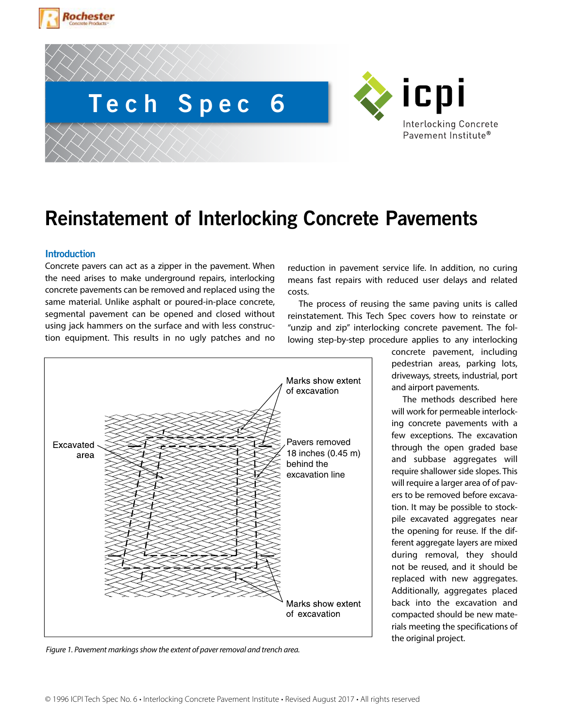



# **Reinstatement of Interlocking Concrete Pavements**

### **Introduction**

Concrete pavers can act as a zipper in the pavement. When the need arises to make underground repairs, interlocking concrete pavements can be removed and replaced using the same material. Unlike asphalt or poured-in-place concrete, segmental pavement can be opened and closed without using jack hammers on the surface and with less construction equipment. This results in no ugly patches and no



The process of reusing the same paving units is called reinstatement. This Tech Spec covers how to reinstate or "unzip and zip" interlocking concrete pavement. The following step-by-step procedure applies to any interlocking



concrete pavement, including pedestrian areas, parking lots, driveways, streets, industrial, port and airport pavements.

The methods described here will work for permeable interlocking concrete pavements with a few exceptions. The excavation through the open graded base and subbase aggregates will require shallower side slopes. This will require a larger area of of pavers to be removed before excavation. It may be possible to stockpile excavated aggregates near the opening for reuse. If the different aggregate layers are mixed during removal, they should not be reused, and it should be replaced with new aggregates. Additionally, aggregates placed back into the excavation and compacted should be new materials meeting the specifications of the original project.

*Figure 1. Pavement markings show the extent of paver removal and trench area.*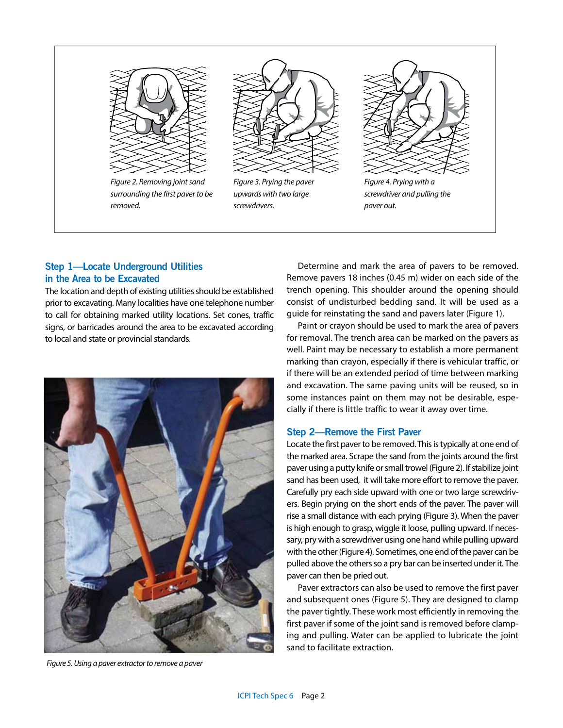

*Figure 2. Removing joint sand surrounding the first paver to be removed.*



*Figure 3. Prying the paver upwards with two large screwdrivers.*



## **Step 1—Locate Underground Utilities in the Area to be Excavated**

The location and depth of existing utilities should be established prior to excavating. Many localities have one telephone number to call for obtaining marked utility locations. Set cones, traffic signs, or barricades around the area to be excavated according to local and state or provincial standards.



*Figure 5. Using a paver extractor to remove a paver*

Determine and mark the area of pavers to be removed. Remove pavers 18 inches (0.45 m) wider on each side of the trench opening. This shoulder around the opening should consist of undisturbed bedding sand. It will be used as a guide for reinstating the sand and pavers later (Figure 1).

Paint or crayon should be used to mark the area of pavers for removal. The trench area can be marked on the pavers as well. Paint may be necessary to establish a more permanent marking than crayon, especially if there is vehicular traffic, or if there will be an extended period of time between marking and excavation. The same paving units will be reused, so in some instances paint on them may not be desirable, especially if there is little traffic to wear it away over time.

## **Step 2—Remove the First Paver**

Locate the first paver to be removed. This is typically at one end of the marked area. Scrape the sand from the joints around the first paver using a putty knife or small trowel (Figure 2). If stabilize joint sand has been used, it will take more effort to remove the paver. Carefully pry each side upward with one or two large screwdrivers. Begin prying on the short ends of the paver. The paver will rise a small distance with each prying (Figure 3). When the paver is high enough to grasp, wiggle it loose, pulling upward. If necessary, pry with a screwdriver using one hand while pulling upward with the other (Figure 4). Sometimes, one end of the paver can be pulled above the others so a pry bar can be inserted under it. The paver can then be pried out.

Paver extractors can also be used to remove the first paver and subsequent ones (Figure 5). They are designed to clamp the paver tightly. These work most efficiently in removing the first paver if some of the joint sand is removed before clamping and pulling. Water can be applied to lubricate the joint sand to facilitate extraction.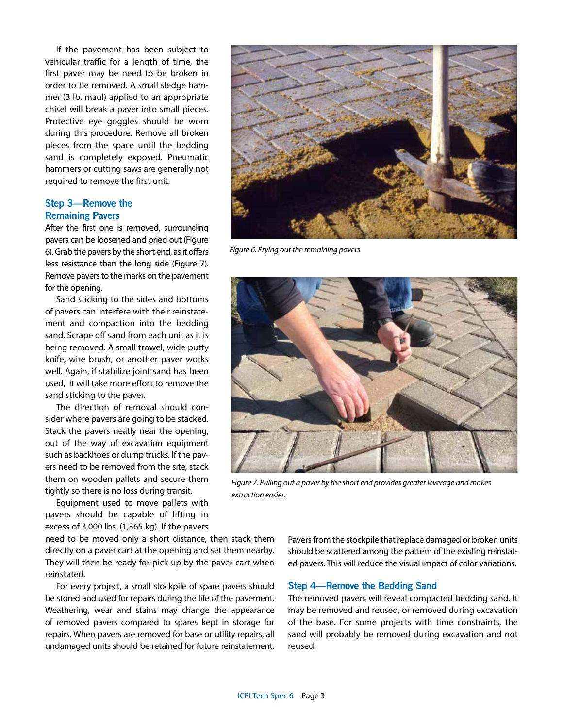If the pavement has been subject to vehicular traffic for a length of time, the first paver may be need to be broken in order to be removed. A small sledge hammer (3 lb. maul) applied to an appropriate chisel will break a paver into small pieces. Protective eye goggles should be worn during this procedure. Remove all broken pieces from the space until the bedding sand is completely exposed. Pneumatic hammers or cutting saws are generally not required to remove the first unit.

#### **Step 3—Remove the Remaining Pavers**

After the first one is removed, surrounding pavers can be loosened and pried out (Figure 6). Grab the pavers by the short end, as it offers less resistance than the long side (Figure 7). Remove pavers to the marks on the pavement for the opening.

Sand sticking to the sides and bottoms of pavers can interfere with their reinstatement and compaction into the bedding sand. Scrape off sand from each unit as it is being removed. A small trowel, wide putty knife, wire brush, or another paver works well. Again, if stabilize joint sand has been used, it will take more effort to remove the sand sticking to the paver.

The direction of removal should consider where pavers are going to be stacked. Stack the pavers neatly near the opening, out of the way of excavation equipment such as backhoes or dump trucks. If the pavers need to be removed from the site, stack them on wooden pallets and secure them tightly so there is no loss during transit.

Equipment used to move pallets with pavers should be capable of lifting in excess of 3,000 lbs. (1,365 kg). If the pavers

need to be moved only a short distance, then stack them directly on a paver cart at the opening and set them nearby. They will then be ready for pick up by the paver cart when reinstated.

For every project, a small stockpile of spare pavers should be stored and used for repairs during the life of the pavement. Weathering, wear and stains may change the appearance of removed pavers compared to spares kept in storage for repairs. When pavers are removed for base or utility repairs, all undamaged units should be retained for future reinstatement.



*Figure 6. Prying out the remaining pavers*



*Figure 7. Pulling out a paver by the short end provides greater leverage and makes extraction easier.*

Pavers from the stockpile that replace damaged or broken units should be scattered among the pattern of the existing reinstated pavers. This will reduce the visual impact of color variations.

#### **Step 4—Remove the Bedding Sand**

The removed pavers will reveal compacted bedding sand. It may be removed and reused, or removed during excavation of the base. For some projects with time constraints, the sand will probably be removed during excavation and not reused.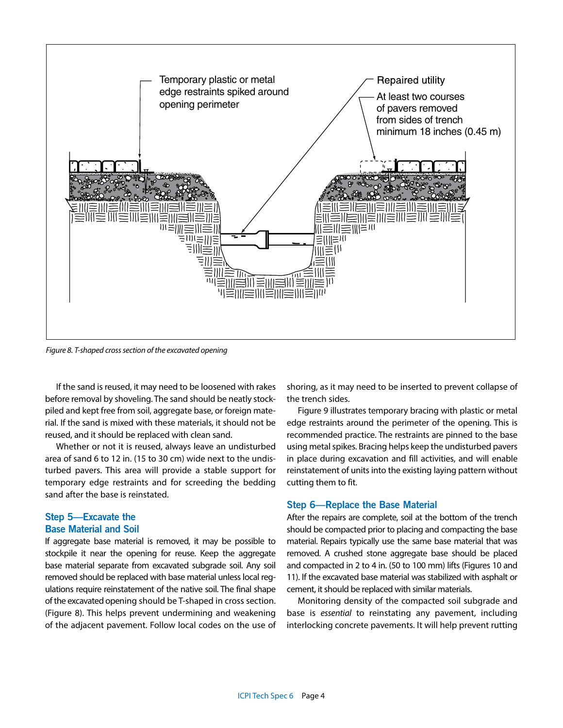

*Figure 8. T-shaped cross section of the excavated opening*

If the sand is reused, it may need to be loosened with rakes before removal by shoveling. The sand should be neatly stockpiled and kept free from soil, aggregate base, or foreign material. If the sand is mixed with these materials, it should not be reused, and it should be replaced with clean sand.

Whether or not it is reused, always leave an undisturbed area of sand 6 to 12 in. (15 to 30 cm) wide next to the undisturbed pavers. This area will provide a stable support for temporary edge restraints and for screeding the bedding sand after the base is reinstated.

### **Step 5—Excavate the Base Material and Soil**

If aggregate base material is removed, it may be possible to stockpile it near the opening for reuse. Keep the aggregate base material separate from excavated subgrade soil. Any soil removed should be replaced with base material unless local regulations require reinstatement of the native soil. The final shape of the excavated opening should be T-shaped in cross section. (Figure 8). This helps prevent undermining and weakening of the adjacent pavement. Follow local codes on the use of shoring, as it may need to be inserted to prevent collapse of the trench sides.

Figure 9 illustrates temporary bracing with plastic or metal edge restraints around the perimeter of the opening. This is recommended practice. The restraints are pinned to the base using metal spikes. Bracing helps keep the undisturbed pavers in place during excavation and fill activities, and will enable reinstatement of units into the existing laying pattern without cutting them to fit.

#### **Step 6—Replace the Base Material**

After the repairs are complete, soil at the bottom of the trench should be compacted prior to placing and compacting the base material. Repairs typically use the same base material that was removed. A crushed stone aggregate base should be placed and compacted in 2 to 4 in. (50 to 100 mm) lifts (Figures 10 and 11). If the excavated base material was stabilized with asphalt or cement, it should be replaced with similar materials.

Monitoring density of the compacted soil subgrade and base is *essential* to reinstating any pavement, including interlocking concrete pavements. It will help prevent rutting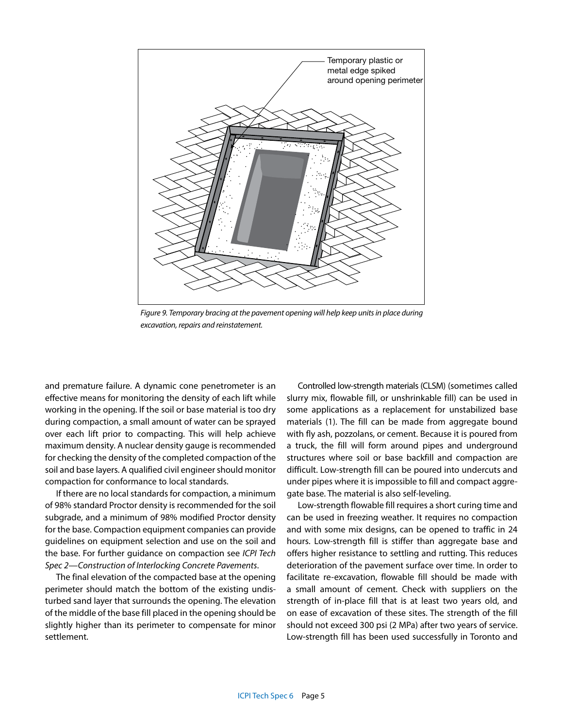

*Figure 9. Temporary bracing at the pavement opening will help keep units in place during excavation, repairs and reinstatement.*

and premature failure. A dynamic cone penetrometer is an effective means for monitoring the density of each lift while working in the opening. If the soil or base material is too dry during compaction, a small amount of water can be sprayed over each lift prior to compacting. This will help achieve maximum density. A nuclear density gauge is recommended for checking the density of the completed compaction of the soil and base layers. A qualified civil engineer should monitor compaction for conformance to local standards.

If there are no local standards for compaction, a minimum of 98% standard Proctor density is recommended for the soil subgrade, and a minimum of 98% modified Proctor density for the base. Compaction equipment companies can provide guidelines on equipment selection and use on the soil and the base. For further guidance on compaction see *ICPI Tech Spec 2—Construction of Interlocking Concrete Pavements*.

The final elevation of the compacted base at the opening perimeter should match the bottom of the existing undisturbed sand layer that surrounds the opening. The elevation of the middle of the base fill placed in the opening should be slightly higher than its perimeter to compensate for minor settlement.

Controlled low-strength materials (CLSM) (sometimes called slurry mix, flowable fill, or unshrinkable fill) can be used in some applications as a replacement for unstabilized base materials (1). The fill can be made from aggregate bound with fly ash, pozzolans, or cement. Because it is poured from a truck, the fill will form around pipes and underground structures where soil or base backfill and compaction are difficult. Low-strength fill can be poured into undercuts and under pipes where it is impossible to fill and compact aggregate base. The material is also self-leveling.

Low-strength flowable fill requires a short curing time and can be used in freezing weather. It requires no compaction and with some mix designs, can be opened to traffic in 24 hours. Low-strength fill is stiffer than aggregate base and offers higher resistance to settling and rutting. This reduces deterioration of the pavement surface over time. In order to facilitate re-excavation, flowable fill should be made with a small amount of cement. Check with suppliers on the strength of in-place fill that is at least two years old, and on ease of excavation of these sites. The strength of the fill should not exceed 300 psi (2 MPa) after two years of service. Low-strength fill has been used successfully in Toronto and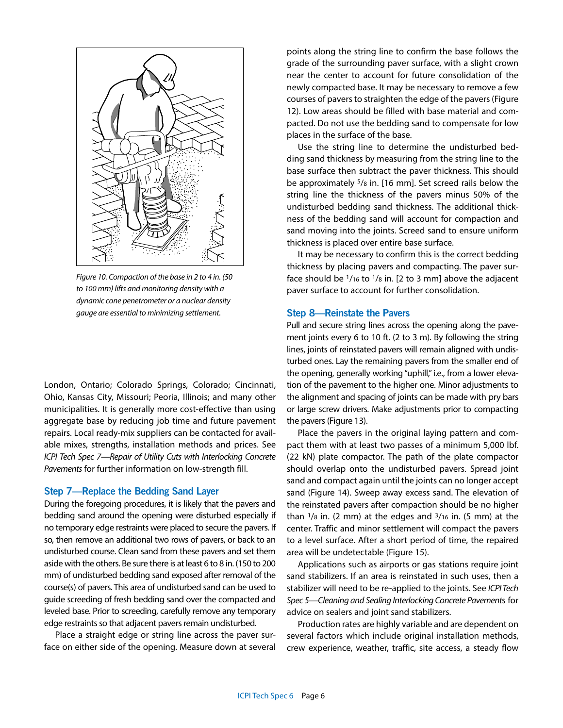

*Figure 10. Compaction of the base in 2 to 4 in. (50 to 100 mm) lifts and monitoring density with a dynamic cone penetrometer or a nuclear density gauge are essential to minimizing settlement.*

London, Ontario; Colorado Springs, Colorado; Cincinnati, Ohio, Kansas City, Missouri; Peoria, Illinois; and many other municipalities. It is generally more cost-effective than using aggregate base by reducing job time and future pavement repairs. Local ready-mix suppliers can be contacted for available mixes, strengths, installation methods and prices. See *ICPI Tech Spec 7—Repair of Utility Cuts with Interlocking Concrete Pavements* for further information on low-strength fill.

#### **Step 7—Replace the Bedding Sand Layer**

During the foregoing procedures, it is likely that the pavers and bedding sand around the opening were disturbed especially if no temporary edge restraints were placed to secure the pavers. If so, then remove an additional two rows of pavers, or back to an undisturbed course. Clean sand from these pavers and set them aside with the others. Be sure there is at least 6 to 8 in. (150 to 200 mm) of undisturbed bedding sand exposed after removal of the course(s) of pavers. This area of undisturbed sand can be used to guide screeding of fresh bedding sand over the compacted and leveled base. Prior to screeding, carefully remove any temporary edge restraints so that adjacent pavers remain undisturbed.

Place a straight edge or string line across the paver surface on either side of the opening. Measure down at several points along the string line to confirm the base follows the grade of the surrounding paver surface, with a slight crown near the center to account for future consolidation of the newly compacted base. It may be necessary to remove a few courses of pavers to straighten the edge of the pavers (Figure 12). Low areas should be filled with base material and compacted. Do not use the bedding sand to compensate for low places in the surface of the base.

Use the string line to determine the undisturbed bedding sand thickness by measuring from the string line to the base surface then subtract the paver thickness. This should be approximately 5/8 in. [16 mm]. Set screed rails below the string line the thickness of the pavers minus 50% of the undisturbed bedding sand thickness. The additional thickness of the bedding sand will account for compaction and sand moving into the joints. Screed sand to ensure uniform thickness is placed over entire base surface.

It may be necessary to confirm this is the correct bedding thickness by placing pavers and compacting. The paver surface should be 1/16 to 1/8 in. [2 to 3 mm] above the adjacent paver surface to account for further consolidation.

#### **Step 8—Reinstate the Pavers**

Pull and secure string lines across the opening along the pavement joints every 6 to 10 ft. (2 to 3 m). By following the string lines, joints of reinstated pavers will remain aligned with undisturbed ones. Lay the remaining pavers from the smaller end of the opening, generally working "uphill," i.e., from a lower elevation of the pavement to the higher one. Minor adjustments to the alignment and spacing of joints can be made with pry bars or large screw drivers. Make adjustments prior to compacting the pavers (Figure 13).

Place the pavers in the original laying pattern and compact them with at least two passes of a minimum 5,000 lbf. (22 kN) plate compactor. The path of the plate compactor should overlap onto the undisturbed pavers. Spread joint sand and compact again until the joints can no longer accept sand (Figure 14). Sweep away excess sand. The elevation of the reinstated pavers after compaction should be no higher than  $1/s$  in. (2 mm) at the edges and  $3/16$  in. (5 mm) at the center. Traffic and minor settlement will compact the pavers to a level surface. After a short period of time, the repaired area will be undetectable (Figure 15).

Applications such as airports or gas stations require joint sand stabilizers. If an area is reinstated in such uses, then a stabilizer will need to be re-applied to the joints. See *ICPI Tech Spec 5—Cleaning and Sealing Interlocking Concrete Pavement*s for advice on sealers and joint sand stabilizers.

Production rates are highly variable and are dependent on several factors which include original installation methods, crew experience, weather, traffic, site access, a steady flow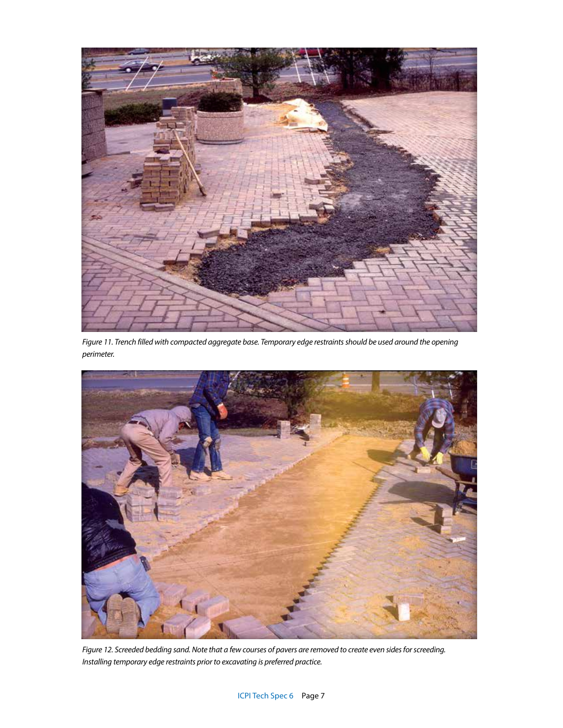

*Figure 11. Trench filled with compacted aggregate base. Temporary edge restraints should be used around the opening perimeter.*



*Figure 12. Screeded bedding sand. Note that a few courses of pavers are removed to create even sides for screeding. Installing temporary edge restraints prior to excavating is preferred practice.*